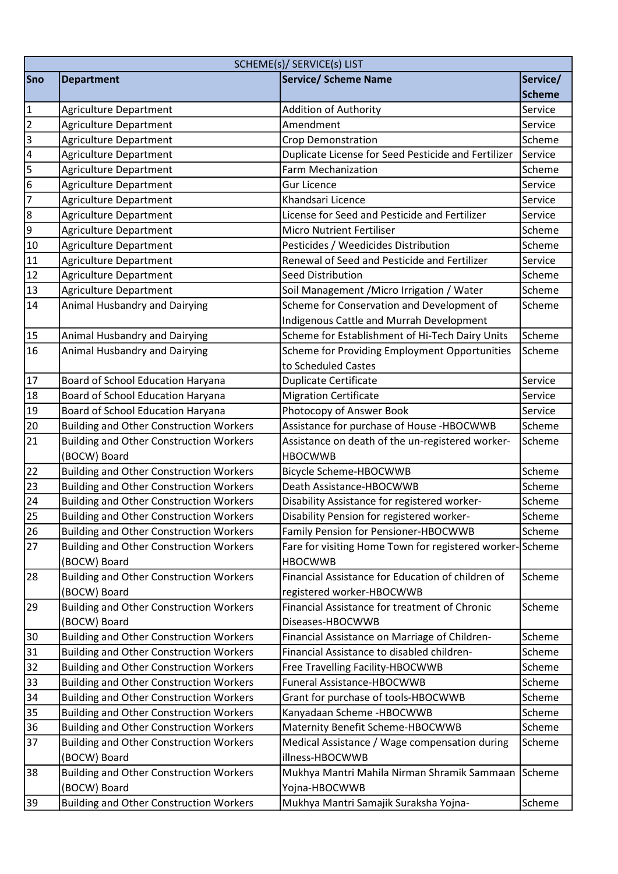|                         | SCHEME(s)/ SERVICE(s) LIST                     |                                                          |               |
|-------------------------|------------------------------------------------|----------------------------------------------------------|---------------|
| Sno                     | <b>Department</b>                              | <b>Service/ Scheme Name</b>                              | Service/      |
|                         |                                                |                                                          | <b>Scheme</b> |
| $\vert$ 1               | Agriculture Department                         | Addition of Authority                                    | Service       |
| $\overline{2}$          | <b>Agriculture Department</b>                  | Amendment                                                | Service       |
| 3                       | Agriculture Department                         | <b>Crop Demonstration</b>                                | Scheme        |
| $\overline{\mathbf{4}}$ | Agriculture Department                         | Duplicate License for Seed Pesticide and Fertilizer      | Service       |
| 5                       | <b>Agriculture Department</b>                  | <b>Farm Mechanization</b>                                | Scheme        |
| $\boldsymbol{6}$        | Agriculture Department                         | <b>Gur Licence</b>                                       | Service       |
| $\overline{7}$          | <b>Agriculture Department</b>                  | Khandsari Licence                                        | Service       |
| $\bf 8$                 | Agriculture Department                         | License for Seed and Pesticide and Fertilizer            | Service       |
| $\boldsymbol{9}$        | Agriculture Department                         | <b>Micro Nutrient Fertiliser</b>                         | Scheme        |
| 10                      | <b>Agriculture Department</b>                  | Pesticides / Weedicides Distribution                     | Scheme        |
| 11                      | Agriculture Department                         | Renewal of Seed and Pesticide and Fertilizer             | Service       |
| 12                      | Agriculture Department                         | <b>Seed Distribution</b>                                 | Scheme        |
| 13                      | <b>Agriculture Department</b>                  | Soil Management / Micro Irrigation / Water               | Scheme        |
| 14                      | Animal Husbandry and Dairying                  | Scheme for Conservation and Development of               | Scheme        |
|                         |                                                | <b>Indigenous Cattle and Murrah Development</b>          |               |
| 15                      | Animal Husbandry and Dairying                  | Scheme for Establishment of Hi-Tech Dairy Units          | Scheme        |
| 16                      | Animal Husbandry and Dairying                  | Scheme for Providing Employment Opportunities            | Scheme        |
|                         |                                                | to Scheduled Castes                                      |               |
| 17                      | Board of School Education Haryana              | <b>Duplicate Certificate</b>                             | Service       |
| 18                      | Board of School Education Haryana              | <b>Migration Certificate</b>                             | Service       |
| 19                      | Board of School Education Haryana              | Photocopy of Answer Book                                 | Service       |
| 20                      | <b>Building and Other Construction Workers</b> | Assistance for purchase of House -HBOCWWB                | Scheme        |
| 21                      | <b>Building and Other Construction Workers</b> | Assistance on death of the un-registered worker-         | Scheme        |
|                         | (BOCW) Board                                   | <b>HBOCWWB</b>                                           |               |
| 22                      | <b>Building and Other Construction Workers</b> | <b>Bicycle Scheme-HBOCWWB</b>                            | Scheme        |
| 23                      | <b>Building and Other Construction Workers</b> | Death Assistance-HBOCWWB                                 | Scheme        |
| 24                      | <b>Building and Other Construction Workers</b> | Disability Assistance for registered worker-             | Scheme        |
| 25                      | <b>Building and Other Construction Workers</b> | Disability Pension for registered worker-                | Scheme        |
| 26                      | <b>Building and Other Construction Workers</b> | Family Pension for Pensioner-HBOCWWB                     | Scheme        |
| 27                      | <b>Building and Other Construction Workers</b> | Fare for visiting Home Town for registered worker-Scheme |               |
|                         | (BOCW) Board                                   | <b>HBOCWWB</b>                                           |               |
| 28                      | <b>Building and Other Construction Workers</b> | Financial Assistance for Education of children of        | Scheme        |
|                         | (BOCW) Board                                   | registered worker-HBOCWWB                                |               |
| 29                      | <b>Building and Other Construction Workers</b> | Financial Assistance for treatment of Chronic            | Scheme        |
|                         | (BOCW) Board                                   | Diseases-HBOCWWB                                         |               |
| 30                      | <b>Building and Other Construction Workers</b> | Financial Assistance on Marriage of Children-            | Scheme        |
| 31                      | <b>Building and Other Construction Workers</b> | Financial Assistance to disabled children-               | Scheme        |
| 32                      | <b>Building and Other Construction Workers</b> | Free Travelling Facility-HBOCWWB                         | Scheme        |
| 33                      | <b>Building and Other Construction Workers</b> | Funeral Assistance-HBOCWWB                               | Scheme        |
| 34                      | <b>Building and Other Construction Workers</b> | Grant for purchase of tools-HBOCWWB                      | Scheme        |
| 35                      | <b>Building and Other Construction Workers</b> | Kanyadaan Scheme - HBOCWWB                               | Scheme        |
| 36                      | <b>Building and Other Construction Workers</b> | Maternity Benefit Scheme-HBOCWWB                         | Scheme        |
| 37                      | <b>Building and Other Construction Workers</b> | Medical Assistance / Wage compensation during            | Scheme        |
|                         | (BOCW) Board                                   | illness-HBOCWWB                                          |               |
| 38                      | <b>Building and Other Construction Workers</b> | Mukhya Mantri Mahila Nirman Shramik Sammaan              | Scheme        |
|                         | (BOCW) Board                                   | Yojna-HBOCWWB                                            |               |
| 39                      | <b>Building and Other Construction Workers</b> | Mukhya Mantri Samajik Suraksha Yojna-                    | Scheme        |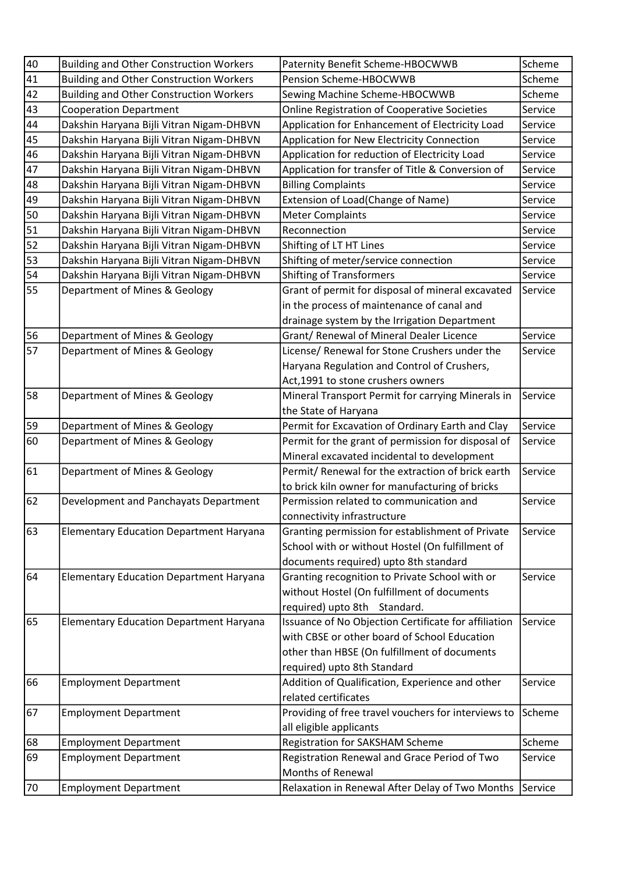| 40 | <b>Building and Other Construction Workers</b> | Paternity Benefit Scheme-HBOCWWB                     | Scheme  |
|----|------------------------------------------------|------------------------------------------------------|---------|
| 41 | <b>Building and Other Construction Workers</b> | Pension Scheme-HBOCWWB                               | Scheme  |
| 42 | <b>Building and Other Construction Workers</b> | Sewing Machine Scheme-HBOCWWB                        | Scheme  |
| 43 | <b>Cooperation Department</b>                  | Online Registration of Cooperative Societies         | Service |
| 44 | Dakshin Haryana Bijli Vitran Nigam-DHBVN       | Application for Enhancement of Electricity Load      | Service |
| 45 | Dakshin Haryana Bijli Vitran Nigam-DHBVN       | Application for New Electricity Connection           | Service |
| 46 | Dakshin Haryana Bijli Vitran Nigam-DHBVN       | Application for reduction of Electricity Load        | Service |
| 47 | Dakshin Haryana Bijli Vitran Nigam-DHBVN       | Application for transfer of Title & Conversion of    | Service |
| 48 | Dakshin Haryana Bijli Vitran Nigam-DHBVN       | <b>Billing Complaints</b>                            | Service |
| 49 | Dakshin Haryana Bijli Vitran Nigam-DHBVN       | Extension of Load(Change of Name)                    | Service |
| 50 | Dakshin Haryana Bijli Vitran Nigam-DHBVN       | <b>Meter Complaints</b>                              | Service |
| 51 | Dakshin Haryana Bijli Vitran Nigam-DHBVN       | Reconnection                                         | Service |
| 52 | Dakshin Haryana Bijli Vitran Nigam-DHBVN       | Shifting of LT HT Lines                              | Service |
| 53 | Dakshin Haryana Bijli Vitran Nigam-DHBVN       | Shifting of meter/service connection                 | Service |
| 54 | Dakshin Haryana Bijli Vitran Nigam-DHBVN       | <b>Shifting of Transformers</b>                      | Service |
| 55 | Department of Mines & Geology                  | Grant of permit for disposal of mineral excavated    | Service |
|    |                                                | in the process of maintenance of canal and           |         |
|    |                                                | drainage system by the Irrigation Department         |         |
| 56 | Department of Mines & Geology                  | Grant/ Renewal of Mineral Dealer Licence             | Service |
| 57 | Department of Mines & Geology                  | License/ Renewal for Stone Crushers under the        | Service |
|    |                                                | Haryana Regulation and Control of Crushers,          |         |
|    |                                                | Act, 1991 to stone crushers owners                   |         |
| 58 | Department of Mines & Geology                  | Mineral Transport Permit for carrying Minerals in    | Service |
|    |                                                | the State of Haryana                                 |         |
| 59 | Department of Mines & Geology                  | Permit for Excavation of Ordinary Earth and Clay     | Service |
| 60 | Department of Mines & Geology                  | Permit for the grant of permission for disposal of   | Service |
|    |                                                | Mineral excavated incidental to development          |         |
| 61 | Department of Mines & Geology                  | Permit/ Renewal for the extraction of brick earth    | Service |
|    |                                                | to brick kiln owner for manufacturing of bricks      |         |
| 62 | Development and Panchayats Department          | Permission related to communication and              | Service |
|    |                                                | connectivity infrastructure                          |         |
| 63 | <b>Elementary Education Department Haryana</b> | Granting permission for establishment of Private     | Service |
|    |                                                | School with or without Hostel (On fulfillment of     |         |
|    |                                                | documents required) upto 8th standard                |         |
| 64 | <b>Elementary Education Department Haryana</b> | Granting recognition to Private School with or       | Service |
|    |                                                | without Hostel (On fulfillment of documents          |         |
|    |                                                | required) upto 8th Standard.                         |         |
| 65 | <b>Elementary Education Department Haryana</b> | Issuance of No Objection Certificate for affiliation | Service |
|    |                                                | with CBSE or other board of School Education         |         |
|    |                                                | other than HBSE (On fulfillment of documents         |         |
|    |                                                | required) upto 8th Standard                          |         |
| 66 | <b>Employment Department</b>                   | Addition of Qualification, Experience and other      | Service |
|    |                                                | related certificates                                 |         |
| 67 | <b>Employment Department</b>                   | Providing of free travel vouchers for interviews to  | Scheme  |
|    |                                                | all eligible applicants                              |         |
| 68 | <b>Employment Department</b>                   | Registration for SAKSHAM Scheme                      | Scheme  |
| 69 | <b>Employment Department</b>                   | Registration Renewal and Grace Period of Two         | Service |
|    |                                                | <b>Months of Renewal</b>                             |         |
| 70 | <b>Employment Department</b>                   | Relaxation in Renewal After Delay of Two Months      | Service |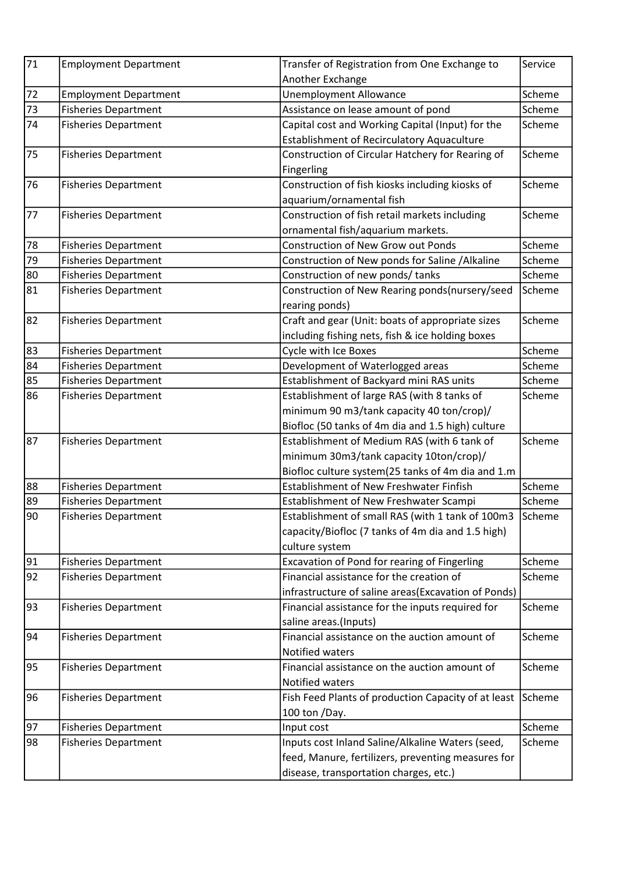| 71 | <b>Employment Department</b> | Transfer of Registration from One Exchange to       | Service |
|----|------------------------------|-----------------------------------------------------|---------|
|    |                              | Another Exchange                                    |         |
| 72 | <b>Employment Department</b> | <b>Unemployment Allowance</b>                       | Scheme  |
| 73 | <b>Fisheries Department</b>  | Assistance on lease amount of pond                  | Scheme  |
| 74 | <b>Fisheries Department</b>  | Capital cost and Working Capital (Input) for the    | Scheme  |
|    |                              | <b>Establishment of Recirculatory Aquaculture</b>   |         |
| 75 | <b>Fisheries Department</b>  | Construction of Circular Hatchery for Rearing of    | Scheme  |
|    |                              | Fingerling                                          |         |
| 76 | <b>Fisheries Department</b>  | Construction of fish kiosks including kiosks of     | Scheme  |
|    |                              | aquarium/ornamental fish                            |         |
| 77 | <b>Fisheries Department</b>  | Construction of fish retail markets including       | Scheme  |
|    |                              | ornamental fish/aquarium markets.                   |         |
| 78 | <b>Fisheries Department</b>  | <b>Construction of New Grow out Ponds</b>           | Scheme  |
| 79 | <b>Fisheries Department</b>  | Construction of New ponds for Saline / Alkaline     | Scheme  |
| 80 | <b>Fisheries Department</b>  | Construction of new ponds/ tanks                    | Scheme  |
| 81 | <b>Fisheries Department</b>  | Construction of New Rearing ponds(nursery/seed      | Scheme  |
|    |                              | rearing ponds)                                      |         |
| 82 | <b>Fisheries Department</b>  | Craft and gear (Unit: boats of appropriate sizes    | Scheme  |
|    |                              | including fishing nets, fish & ice holding boxes    |         |
| 83 | <b>Fisheries Department</b>  | Cycle with Ice Boxes                                | Scheme  |
| 84 | <b>Fisheries Department</b>  | Development of Waterlogged areas                    | Scheme  |
| 85 | <b>Fisheries Department</b>  | Establishment of Backyard mini RAS units            | Scheme  |
| 86 | <b>Fisheries Department</b>  | Establishment of large RAS (with 8 tanks of         | Scheme  |
|    |                              | minimum 90 m3/tank capacity 40 ton/crop)/           |         |
|    |                              | Biofloc (50 tanks of 4m dia and 1.5 high) culture   |         |
| 87 | <b>Fisheries Department</b>  | Establishment of Medium RAS (with 6 tank of         | Scheme  |
|    |                              | minimum 30m3/tank capacity 10ton/crop)/             |         |
|    |                              | Biofloc culture system(25 tanks of 4m dia and 1.m   |         |
| 88 | <b>Fisheries Department</b>  | Establishment of New Freshwater Finfish             | Scheme  |
| 89 | <b>Fisheries Department</b>  | Establishment of New Freshwater Scampi              | Scheme  |
| 90 | <b>Fisheries Department</b>  | Establishment of small RAS (with 1 tank of 100m3    | Scheme  |
|    |                              | capacity/Biofloc (7 tanks of 4m dia and 1.5 high)   |         |
|    |                              | culture system                                      |         |
| 91 | <b>Fisheries Department</b>  | Excavation of Pond for rearing of Fingerling        | Scheme  |
| 92 | <b>Fisheries Department</b>  | Financial assistance for the creation of            | Scheme  |
|    |                              | infrastructure of saline areas(Excavation of Ponds) |         |
| 93 | <b>Fisheries Department</b>  | Financial assistance for the inputs required for    | Scheme  |
|    |                              | saline areas.(Inputs)                               |         |
| 94 | <b>Fisheries Department</b>  | Financial assistance on the auction amount of       | Scheme  |
|    |                              | Notified waters                                     |         |
| 95 | <b>Fisheries Department</b>  | Financial assistance on the auction amount of       | Scheme  |
|    |                              | Notified waters                                     |         |
| 96 | <b>Fisheries Department</b>  | Fish Feed Plants of production Capacity of at least | Scheme  |
|    |                              | 100 ton /Day.                                       |         |
| 97 | <b>Fisheries Department</b>  | Input cost                                          | Scheme  |
| 98 | <b>Fisheries Department</b>  | Inputs cost Inland Saline/Alkaline Waters (seed,    | Scheme  |
|    |                              | feed, Manure, fertilizers, preventing measures for  |         |
|    |                              | disease, transportation charges, etc.)              |         |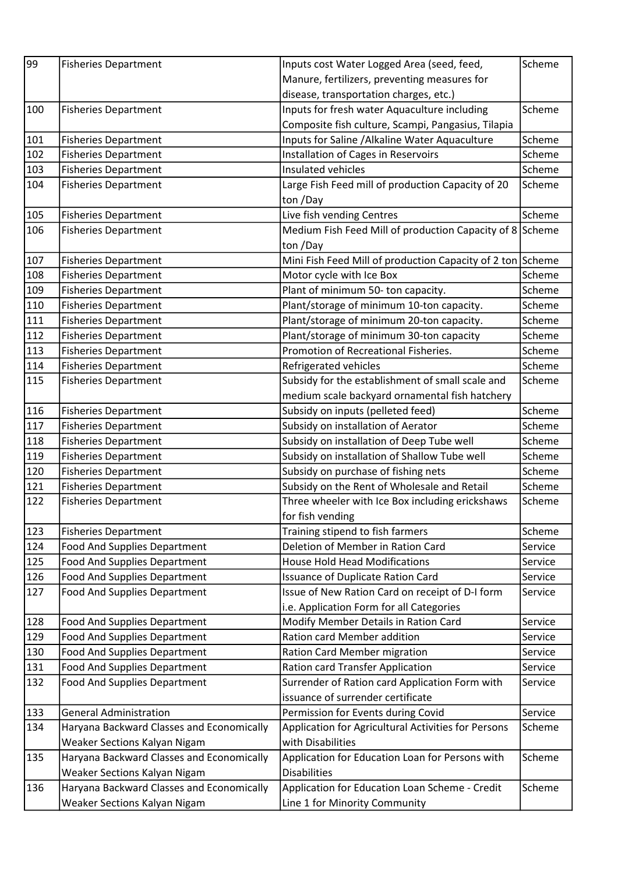| 99  | <b>Fisheries Department</b>               | Inputs cost Water Logged Area (seed, feed,                 | Scheme  |
|-----|-------------------------------------------|------------------------------------------------------------|---------|
|     |                                           | Manure, fertilizers, preventing measures for               |         |
|     |                                           | disease, transportation charges, etc.)                     |         |
| 100 | <b>Fisheries Department</b>               | Inputs for fresh water Aquaculture including               | Scheme  |
|     |                                           | Composite fish culture, Scampi, Pangasius, Tilapia         |         |
| 101 | <b>Fisheries Department</b>               | Inputs for Saline / Alkaline Water Aquaculture             | Scheme  |
| 102 | <b>Fisheries Department</b>               | Installation of Cages in Reservoirs                        | Scheme  |
| 103 | <b>Fisheries Department</b>               | Insulated vehicles                                         | Scheme  |
| 104 | <b>Fisheries Department</b>               | Large Fish Feed mill of production Capacity of 20          | Scheme  |
|     |                                           | ton /Day                                                   |         |
| 105 | <b>Fisheries Department</b>               | Live fish vending Centres                                  | Scheme  |
| 106 | <b>Fisheries Department</b>               | Medium Fish Feed Mill of production Capacity of 8 Scheme   |         |
|     |                                           | ton /Day                                                   |         |
| 107 | <b>Fisheries Department</b>               | Mini Fish Feed Mill of production Capacity of 2 ton Scheme |         |
| 108 | <b>Fisheries Department</b>               | Motor cycle with Ice Box                                   | Scheme  |
| 109 | <b>Fisheries Department</b>               | Plant of minimum 50- ton capacity.                         | Scheme  |
| 110 | <b>Fisheries Department</b>               | Plant/storage of minimum 10-ton capacity.                  | Scheme  |
| 111 | <b>Fisheries Department</b>               | Plant/storage of minimum 20-ton capacity.                  | Scheme  |
| 112 | <b>Fisheries Department</b>               | Plant/storage of minimum 30-ton capacity                   | Scheme  |
| 113 | <b>Fisheries Department</b>               | Promotion of Recreational Fisheries.                       | Scheme  |
| 114 | <b>Fisheries Department</b>               | Refrigerated vehicles                                      | Scheme  |
| 115 | <b>Fisheries Department</b>               | Subsidy for the establishment of small scale and           | Scheme  |
|     |                                           | medium scale backyard ornamental fish hatchery             |         |
| 116 | <b>Fisheries Department</b>               | Subsidy on inputs (pelleted feed)                          | Scheme  |
| 117 | <b>Fisheries Department</b>               | Subsidy on installation of Aerator                         | Scheme  |
| 118 | <b>Fisheries Department</b>               | Subsidy on installation of Deep Tube well                  | Scheme  |
| 119 | <b>Fisheries Department</b>               | Subsidy on installation of Shallow Tube well               | Scheme  |
| 120 | <b>Fisheries Department</b>               | Subsidy on purchase of fishing nets                        | Scheme  |
| 121 | <b>Fisheries Department</b>               | Subsidy on the Rent of Wholesale and Retail                | Scheme  |
| 122 | <b>Fisheries Department</b>               | Three wheeler with Ice Box including erickshaws            | Scheme  |
|     |                                           | for fish vending                                           |         |
| 123 | <b>Fisheries Department</b>               | Training stipend to fish farmers                           | Scheme  |
| 124 | <b>Food And Supplies Department</b>       | Deletion of Member in Ration Card                          | Service |
| 125 | <b>Food And Supplies Department</b>       | <b>House Hold Head Modifications</b>                       | Service |
| 126 | <b>Food And Supplies Department</b>       | <b>Issuance of Duplicate Ration Card</b>                   | Service |
| 127 | <b>Food And Supplies Department</b>       | Issue of New Ration Card on receipt of D-I form            | Service |
|     |                                           | i.e. Application Form for all Categories                   |         |
| 128 | <b>Food And Supplies Department</b>       | Modify Member Details in Ration Card                       | Service |
| 129 | <b>Food And Supplies Department</b>       | Ration card Member addition                                | Service |
| 130 | <b>Food And Supplies Department</b>       | <b>Ration Card Member migration</b>                        | Service |
| 131 | <b>Food And Supplies Department</b>       | Ration card Transfer Application                           | Service |
| 132 | <b>Food And Supplies Department</b>       | Surrender of Ration card Application Form with             | Service |
|     |                                           | issuance of surrender certificate                          |         |
| 133 | <b>General Administration</b>             | Permission for Events during Covid                         | Service |
| 134 | Haryana Backward Classes and Economically | Application for Agricultural Activities for Persons        | Scheme  |
|     | Weaker Sections Kalyan Nigam              | with Disabilities                                          |         |
| 135 | Haryana Backward Classes and Economically | Application for Education Loan for Persons with            | Scheme  |
|     | Weaker Sections Kalyan Nigam              | <b>Disabilities</b>                                        |         |
| 136 | Haryana Backward Classes and Economically | Application for Education Loan Scheme - Credit             | Scheme  |
|     | Weaker Sections Kalyan Nigam              | Line 1 for Minority Community                              |         |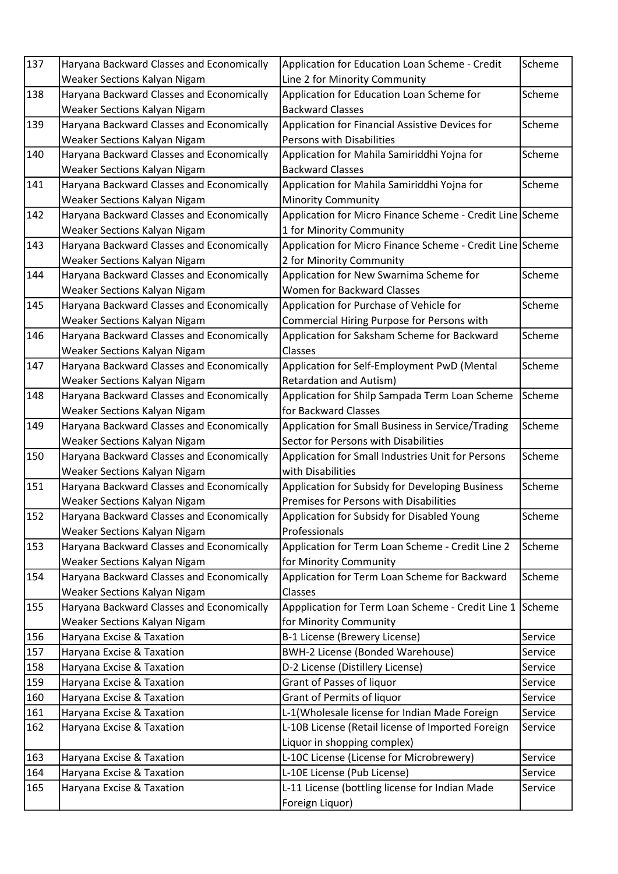| 137 | Haryana Backward Classes and Economically | Application for Education Loan Scheme - Credit            | Scheme  |
|-----|-------------------------------------------|-----------------------------------------------------------|---------|
|     | Weaker Sections Kalyan Nigam              | Line 2 for Minority Community                             |         |
| 138 | Haryana Backward Classes and Economically | Application for Education Loan Scheme for                 | Scheme  |
|     | Weaker Sections Kalyan Nigam              | <b>Backward Classes</b>                                   |         |
| 139 | Haryana Backward Classes and Economically | Application for Financial Assistive Devices for           | Scheme  |
|     | Weaker Sections Kalyan Nigam              | Persons with Disabilities                                 |         |
| 140 | Haryana Backward Classes and Economically | Application for Mahila Samiriddhi Yojna for               | Scheme  |
|     | Weaker Sections Kalyan Nigam              | <b>Backward Classes</b>                                   |         |
| 141 | Haryana Backward Classes and Economically | Application for Mahila Samiriddhi Yojna for               | Scheme  |
|     | Weaker Sections Kalyan Nigam              | <b>Minority Community</b>                                 |         |
| 142 | Haryana Backward Classes and Economically | Application for Micro Finance Scheme - Credit Line Scheme |         |
|     | Weaker Sections Kalyan Nigam              | 1 for Minority Community                                  |         |
| 143 | Haryana Backward Classes and Economically | Application for Micro Finance Scheme - Credit Line Scheme |         |
|     | Weaker Sections Kalyan Nigam              | 2 for Minority Community                                  |         |
| 144 | Haryana Backward Classes and Economically | Application for New Swarnima Scheme for                   | Scheme  |
|     | Weaker Sections Kalyan Nigam              | <b>Women for Backward Classes</b>                         |         |
| 145 | Haryana Backward Classes and Economically | Application for Purchase of Vehicle for                   | Scheme  |
|     | Weaker Sections Kalyan Nigam              | Commercial Hiring Purpose for Persons with                |         |
| 146 | Haryana Backward Classes and Economically | Application for Saksham Scheme for Backward               | Scheme  |
|     | Weaker Sections Kalyan Nigam              | Classes                                                   |         |
| 147 | Haryana Backward Classes and Economically | Application for Self-Employment PwD (Mental               | Scheme  |
|     | Weaker Sections Kalyan Nigam              | <b>Retardation and Autism)</b>                            |         |
| 148 | Haryana Backward Classes and Economically | Application for Shilp Sampada Term Loan Scheme            | Scheme  |
|     | Weaker Sections Kalyan Nigam              | for Backward Classes                                      |         |
| 149 | Haryana Backward Classes and Economically | Application for Small Business in Service/Trading         | Scheme  |
|     | Weaker Sections Kalyan Nigam              | Sector for Persons with Disabilities                      |         |
| 150 | Haryana Backward Classes and Economically | Application for Small Industries Unit for Persons         | Scheme  |
|     | Weaker Sections Kalyan Nigam              | with Disabilities                                         |         |
| 151 | Haryana Backward Classes and Economically | Application for Subsidy for Developing Business           | Scheme  |
|     | Weaker Sections Kalyan Nigam              | Premises for Persons with Disabilities                    |         |
| 152 | Haryana Backward Classes and Economically | Application for Subsidy for Disabled Young                | Scheme  |
|     | Weaker Sections Kalyan Nigam              | Professionals                                             |         |
| 153 | Haryana Backward Classes and Economically | Application for Term Loan Scheme - Credit Line 2          | Scheme  |
|     | Weaker Sections Kalyan Nigam              | for Minority Community                                    |         |
| 154 | Haryana Backward Classes and Economically | Application for Term Loan Scheme for Backward             | Scheme  |
|     | Weaker Sections Kalyan Nigam              | Classes                                                   |         |
| 155 | Haryana Backward Classes and Economically | Appplication for Term Loan Scheme - Credit Line 1 Scheme  |         |
|     | Weaker Sections Kalyan Nigam              | for Minority Community                                    |         |
| 156 | Haryana Excise & Taxation                 | B-1 License (Brewery License)                             | Service |
| 157 | Haryana Excise & Taxation                 | <b>BWH-2 License (Bonded Warehouse)</b>                   | Service |
| 158 | Haryana Excise & Taxation                 | D-2 License (Distillery License)                          | Service |
| 159 | Haryana Excise & Taxation                 | Grant of Passes of liquor                                 | Service |
| 160 | Haryana Excise & Taxation                 | Grant of Permits of liquor                                | Service |
| 161 | Haryana Excise & Taxation                 | L-1(Wholesale license for Indian Made Foreign             | Service |
| 162 | Haryana Excise & Taxation                 | L-10B License (Retail license of Imported Foreign         | Service |
|     |                                           | Liquor in shopping complex)                               |         |
| 163 | Haryana Excise & Taxation                 | L-10C License (License for Microbrewery)                  | Service |
| 164 | Haryana Excise & Taxation                 | L-10E License (Pub License)                               | Service |
| 165 | Haryana Excise & Taxation                 | L-11 License (bottling license for Indian Made            | Service |
|     |                                           | Foreign Liquor)                                           |         |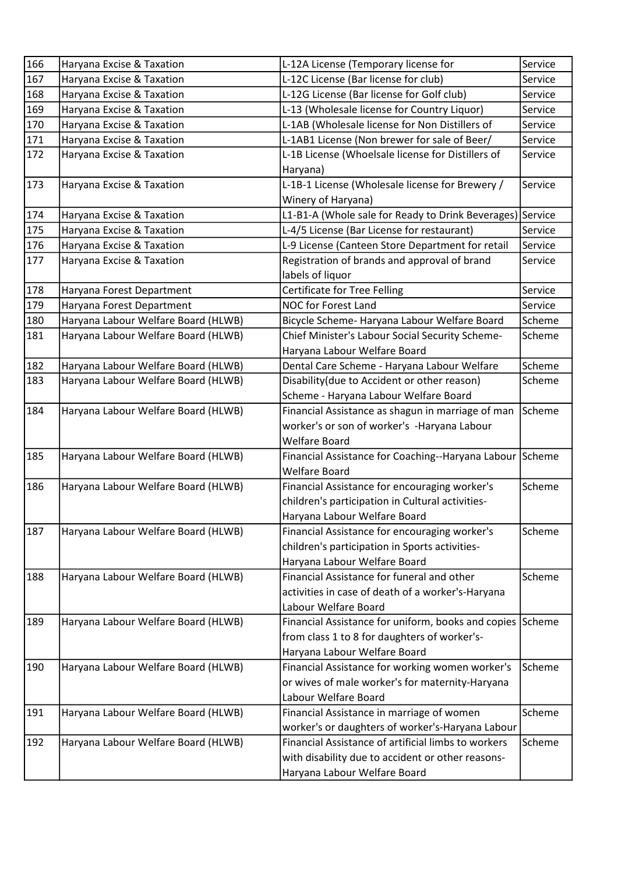| 166 | Haryana Excise & Taxation           | L-12A License (Temporary license for                      | Service |
|-----|-------------------------------------|-----------------------------------------------------------|---------|
| 167 | Haryana Excise & Taxation           | L-12C License (Bar license for club)                      | Service |
| 168 | Haryana Excise & Taxation           | L-12G License (Bar license for Golf club)                 | Service |
| 169 | Haryana Excise & Taxation           | L-13 (Wholesale license for Country Liquor)               | Service |
| 170 | Haryana Excise & Taxation           | L-1AB (Wholesale license for Non Distillers of            | Service |
| 171 | Haryana Excise & Taxation           | L-1AB1 License (Non brewer for sale of Beer/              | Service |
| 172 | Haryana Excise & Taxation           | L-1B License (Whoelsale license for Distillers of         | Service |
|     |                                     | Haryana)                                                  |         |
| 173 | Haryana Excise & Taxation           | L-1B-1 License (Wholesale license for Brewery /           | Service |
|     |                                     | Winery of Haryana)                                        |         |
| 174 | Haryana Excise & Taxation           | L1-B1-A (Whole sale for Ready to Drink Beverages) Service |         |
| 175 | Haryana Excise & Taxation           | L-4/5 License (Bar License for restaurant)                | Service |
| 176 | Haryana Excise & Taxation           | L-9 License (Canteen Store Department for retail          | Service |
| 177 | Haryana Excise & Taxation           | Registration of brands and approval of brand              | Service |
|     |                                     | labels of liquor                                          |         |
| 178 | Haryana Forest Department           | <b>Certificate for Tree Felling</b>                       | Service |
| 179 | Haryana Forest Department           | NOC for Forest Land                                       | Service |
| 180 | Haryana Labour Welfare Board (HLWB) | Bicycle Scheme- Haryana Labour Welfare Board              | Scheme  |
| 181 | Haryana Labour Welfare Board (HLWB) | Chief Minister's Labour Social Security Scheme-           | Scheme  |
|     |                                     | Haryana Labour Welfare Board                              |         |
| 182 | Haryana Labour Welfare Board (HLWB) | Dental Care Scheme - Haryana Labour Welfare               | Scheme  |
| 183 | Haryana Labour Welfare Board (HLWB) | Disability (due to Accident or other reason)              | Scheme  |
|     |                                     | Scheme - Haryana Labour Welfare Board                     |         |
| 184 | Haryana Labour Welfare Board (HLWB) | Financial Assistance as shagun in marriage of man         | Scheme  |
|     |                                     | worker's or son of worker's -Haryana Labour               |         |
|     |                                     | <b>Welfare Board</b>                                      |         |
| 185 | Haryana Labour Welfare Board (HLWB) | Financial Assistance for Coaching--Haryana Labour         | Scheme  |
|     |                                     | <b>Welfare Board</b>                                      |         |
| 186 | Haryana Labour Welfare Board (HLWB) | Financial Assistance for encouraging worker's             | Scheme  |
|     |                                     | children's participation in Cultural activities-          |         |
|     |                                     | Haryana Labour Welfare Board                              |         |
| 187 | Haryana Labour Welfare Board (HLWB) | Financial Assistance for encouraging worker's             | Scheme  |
|     |                                     | children's participation in Sports activities-            |         |
|     |                                     | Haryana Labour Welfare Board                              |         |
| 188 | Haryana Labour Welfare Board (HLWB) | Financial Assistance for funeral and other                | Scheme  |
|     |                                     | activities in case of death of a worker's-Haryana         |         |
|     |                                     | Labour Welfare Board                                      |         |
| 189 | Haryana Labour Welfare Board (HLWB) | Financial Assistance for uniform, books and copies        | Scheme  |
|     |                                     | from class 1 to 8 for daughters of worker's-              |         |
|     |                                     | Haryana Labour Welfare Board                              |         |
| 190 | Haryana Labour Welfare Board (HLWB) | Financial Assistance for working women worker's           | Scheme  |
|     |                                     | or wives of male worker's for maternity-Haryana           |         |
|     |                                     | Labour Welfare Board                                      |         |
| 191 | Haryana Labour Welfare Board (HLWB) | Financial Assistance in marriage of women                 | Scheme  |
|     |                                     | worker's or daughters of worker's-Haryana Labour          |         |
| 192 | Haryana Labour Welfare Board (HLWB) | Financial Assistance of artificial limbs to workers       | Scheme  |
|     |                                     | with disability due to accident or other reasons-         |         |
|     |                                     | Haryana Labour Welfare Board                              |         |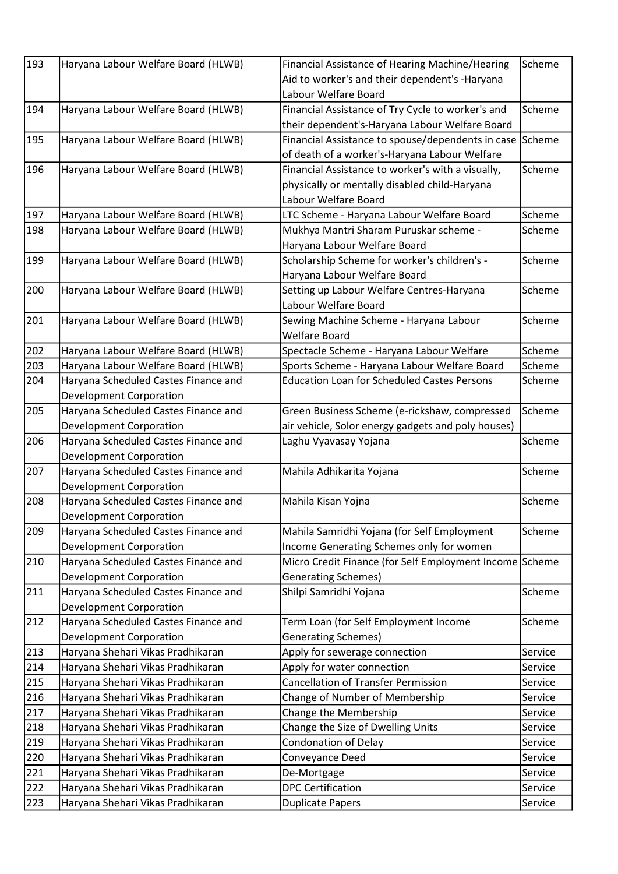| 193 | Haryana Labour Welfare Board (HLWB)  | Financial Assistance of Hearing Machine/Hearing          | Scheme  |
|-----|--------------------------------------|----------------------------------------------------------|---------|
|     |                                      | Aid to worker's and their dependent's -Haryana           |         |
|     |                                      | Labour Welfare Board                                     |         |
| 194 | Haryana Labour Welfare Board (HLWB)  | Financial Assistance of Try Cycle to worker's and        | Scheme  |
|     |                                      | their dependent's-Haryana Labour Welfare Board           |         |
| 195 | Haryana Labour Welfare Board (HLWB)  | Financial Assistance to spouse/dependents in case Scheme |         |
|     |                                      | of death of a worker's-Haryana Labour Welfare            |         |
| 196 | Haryana Labour Welfare Board (HLWB)  | Financial Assistance to worker's with a visually,        | Scheme  |
|     |                                      | physically or mentally disabled child-Haryana            |         |
|     |                                      | Labour Welfare Board                                     |         |
| 197 | Haryana Labour Welfare Board (HLWB)  | LTC Scheme - Haryana Labour Welfare Board                | Scheme  |
| 198 | Haryana Labour Welfare Board (HLWB)  | Mukhya Mantri Sharam Puruskar scheme -                   | Scheme  |
|     |                                      | Haryana Labour Welfare Board                             |         |
| 199 | Haryana Labour Welfare Board (HLWB)  | Scholarship Scheme for worker's children's -             | Scheme  |
|     |                                      | Haryana Labour Welfare Board                             |         |
| 200 | Haryana Labour Welfare Board (HLWB)  | Setting up Labour Welfare Centres-Haryana                | Scheme  |
|     |                                      | Labour Welfare Board                                     |         |
| 201 | Haryana Labour Welfare Board (HLWB)  | Sewing Machine Scheme - Haryana Labour                   | Scheme  |
|     |                                      | <b>Welfare Board</b>                                     |         |
| 202 | Haryana Labour Welfare Board (HLWB)  | Spectacle Scheme - Haryana Labour Welfare                | Scheme  |
| 203 | Haryana Labour Welfare Board (HLWB)  | Sports Scheme - Haryana Labour Welfare Board             | Scheme  |
| 204 | Haryana Scheduled Castes Finance and | <b>Education Loan for Scheduled Castes Persons</b>       | Scheme  |
|     |                                      |                                                          |         |
|     | <b>Development Corporation</b>       |                                                          |         |
| 205 | Haryana Scheduled Castes Finance and | Green Business Scheme (e-rickshaw, compressed            | Scheme  |
|     | <b>Development Corporation</b>       | air vehicle, Solor energy gadgets and poly houses)       |         |
| 206 | Haryana Scheduled Castes Finance and | Laghu Vyavasay Yojana                                    | Scheme  |
|     | <b>Development Corporation</b>       |                                                          |         |
| 207 | Haryana Scheduled Castes Finance and | Mahila Adhikarita Yojana                                 | Scheme  |
|     | <b>Development Corporation</b>       |                                                          |         |
| 208 | Haryana Scheduled Castes Finance and | Mahila Kisan Yojna                                       | Scheme  |
|     | Development Corporation              |                                                          |         |
| 209 | Haryana Scheduled Castes Finance and | Mahila Samridhi Yojana (for Self Employment              | Scheme  |
|     | <b>Development Corporation</b>       | Income Generating Schemes only for women                 |         |
| 210 | Haryana Scheduled Castes Finance and | Micro Credit Finance (for Self Employment Income Scheme  |         |
|     | <b>Development Corporation</b>       | Generating Schemes)                                      |         |
| 211 | Haryana Scheduled Castes Finance and | Shilpi Samridhi Yojana                                   | Scheme  |
|     | <b>Development Corporation</b>       |                                                          |         |
| 212 | Haryana Scheduled Castes Finance and | Term Loan (for Self Employment Income                    | Scheme  |
|     | <b>Development Corporation</b>       | <b>Generating Schemes)</b>                               |         |
| 213 | Haryana Shehari Vikas Pradhikaran    | Apply for sewerage connection                            | Service |
| 214 | Haryana Shehari Vikas Pradhikaran    | Apply for water connection                               | Service |
| 215 | Haryana Shehari Vikas Pradhikaran    | <b>Cancellation of Transfer Permission</b>               | Service |
| 216 | Haryana Shehari Vikas Pradhikaran    | Change of Number of Membership                           | Service |
| 217 | Haryana Shehari Vikas Pradhikaran    | Change the Membership                                    | Service |
| 218 | Haryana Shehari Vikas Pradhikaran    | Change the Size of Dwelling Units                        | Service |
| 219 | Haryana Shehari Vikas Pradhikaran    | <b>Condonation of Delay</b>                              | Service |
| 220 | Haryana Shehari Vikas Pradhikaran    | Conveyance Deed                                          | Service |
| 221 | Haryana Shehari Vikas Pradhikaran    | De-Mortgage                                              | Service |
| 222 | Haryana Shehari Vikas Pradhikaran    | <b>DPC Certification</b>                                 | Service |
| 223 | Haryana Shehari Vikas Pradhikaran    | <b>Duplicate Papers</b>                                  | Service |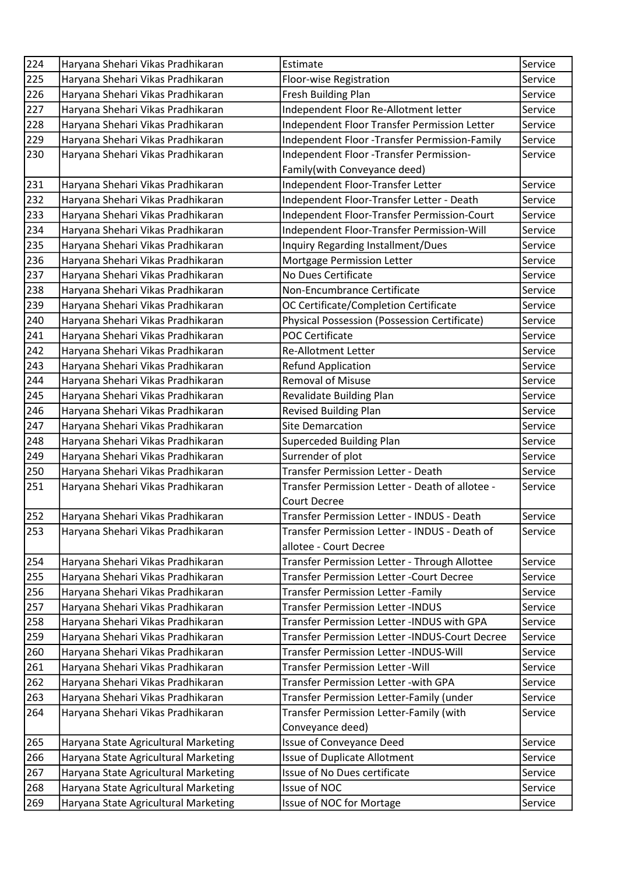| 224 | Haryana Shehari Vikas Pradhikaran    | Estimate                                         | Service |
|-----|--------------------------------------|--------------------------------------------------|---------|
| 225 | Haryana Shehari Vikas Pradhikaran    | Floor-wise Registration                          | Service |
| 226 | Haryana Shehari Vikas Pradhikaran    | Fresh Building Plan                              | Service |
| 227 | Haryana Shehari Vikas Pradhikaran    | Independent Floor Re-Allotment letter            | Service |
| 228 | Haryana Shehari Vikas Pradhikaran    | Independent Floor Transfer Permission Letter     | Service |
| 229 | Haryana Shehari Vikas Pradhikaran    | Independent Floor - Transfer Permission-Family   | Service |
| 230 | Haryana Shehari Vikas Pradhikaran    | Independent Floor -Transfer Permission-          | Service |
|     |                                      | Family(with Conveyance deed)                     |         |
| 231 | Haryana Shehari Vikas Pradhikaran    | Independent Floor-Transfer Letter                | Service |
| 232 | Haryana Shehari Vikas Pradhikaran    | Independent Floor-Transfer Letter - Death        | Service |
| 233 | Haryana Shehari Vikas Pradhikaran    | Independent Floor-Transfer Permission-Court      | Service |
| 234 | Haryana Shehari Vikas Pradhikaran    | Independent Floor-Transfer Permission-Will       | Service |
| 235 | Haryana Shehari Vikas Pradhikaran    | Inquiry Regarding Installment/Dues               | Service |
| 236 | Haryana Shehari Vikas Pradhikaran    | Mortgage Permission Letter                       | Service |
| 237 | Haryana Shehari Vikas Pradhikaran    | No Dues Certificate                              | Service |
| 238 | Haryana Shehari Vikas Pradhikaran    | Non-Encumbrance Certificate                      | Service |
| 239 | Haryana Shehari Vikas Pradhikaran    | OC Certificate/Completion Certificate            | Service |
| 240 | Haryana Shehari Vikas Pradhikaran    | Physical Possession (Possession Certificate)     | Service |
| 241 | Haryana Shehari Vikas Pradhikaran    | <b>POC Certificate</b>                           | Service |
| 242 | Haryana Shehari Vikas Pradhikaran    | <b>Re-Allotment Letter</b>                       | Service |
| 243 | Haryana Shehari Vikas Pradhikaran    | <b>Refund Application</b>                        | Service |
| 244 | Haryana Shehari Vikas Pradhikaran    | <b>Removal of Misuse</b>                         | Service |
| 245 | Haryana Shehari Vikas Pradhikaran    | Revalidate Building Plan                         | Service |
| 246 | Haryana Shehari Vikas Pradhikaran    | <b>Revised Building Plan</b>                     | Service |
| 247 | Haryana Shehari Vikas Pradhikaran    | <b>Site Demarcation</b>                          | Service |
| 248 | Haryana Shehari Vikas Pradhikaran    | Superceded Building Plan                         | Service |
| 249 | Haryana Shehari Vikas Pradhikaran    | Surrender of plot                                | Service |
| 250 | Haryana Shehari Vikas Pradhikaran    | Transfer Permission Letter - Death               | Service |
| 251 | Haryana Shehari Vikas Pradhikaran    | Transfer Permission Letter - Death of allotee -  | Service |
|     |                                      | <b>Court Decree</b>                              |         |
| 252 | Haryana Shehari Vikas Pradhikaran    | Transfer Permission Letter - INDUS - Death       | Service |
| 253 | Haryana Shehari Vikas Pradhikaran    | Transfer Permission Letter - INDUS - Death of    | Service |
|     |                                      | allotee - Court Decree                           |         |
| 254 | Haryana Shehari Vikas Pradhikaran    | Transfer Permission Letter - Through Allottee    | Service |
| 255 | Haryana Shehari Vikas Pradhikaran    | <b>Transfer Permission Letter - Court Decree</b> | Service |
| 256 | Haryana Shehari Vikas Pradhikaran    | Transfer Permission Letter -Family               | Service |
| 257 | Haryana Shehari Vikas Pradhikaran    | <b>Transfer Permission Letter -INDUS</b>         | Service |
| 258 | Haryana Shehari Vikas Pradhikaran    | Transfer Permission Letter -INDUS with GPA       | Service |
| 259 | Haryana Shehari Vikas Pradhikaran    | Transfer Permission Letter -INDUS-Court Decree   | Service |
| 260 | Haryana Shehari Vikas Pradhikaran    | Transfer Permission Letter -INDUS-Will           | Service |
| 261 | Haryana Shehari Vikas Pradhikaran    | Transfer Permission Letter - Will                | Service |
| 262 | Haryana Shehari Vikas Pradhikaran    | Transfer Permission Letter - with GPA            | Service |
| 263 | Haryana Shehari Vikas Pradhikaran    | Transfer Permission Letter-Family (under         | Service |
| 264 | Haryana Shehari Vikas Pradhikaran    | Transfer Permission Letter-Family (with          | Service |
|     |                                      | Conveyance deed)                                 |         |
| 265 | Haryana State Agricultural Marketing | Issue of Conveyance Deed                         | Service |
| 266 | Haryana State Agricultural Marketing | Issue of Duplicate Allotment                     | Service |
| 267 | Haryana State Agricultural Marketing | Issue of No Dues certificate                     | Service |
| 268 | Haryana State Agricultural Marketing | Issue of NOC                                     | Service |
| 269 | Haryana State Agricultural Marketing | Issue of NOC for Mortage                         | Service |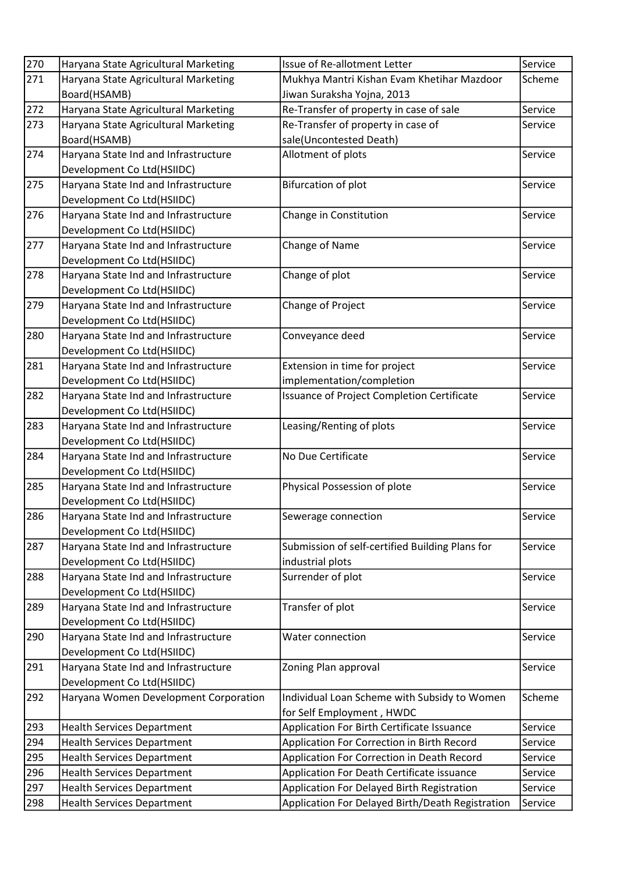| 270 | Haryana State Agricultural Marketing  | Issue of Re-allotment Letter                     | Service |
|-----|---------------------------------------|--------------------------------------------------|---------|
| 271 | Haryana State Agricultural Marketing  | Mukhya Mantri Kishan Evam Khetihar Mazdoor       | Scheme  |
|     | Board(HSAMB)                          | Jiwan Suraksha Yojna, 2013                       |         |
| 272 | Haryana State Agricultural Marketing  | Re-Transfer of property in case of sale          | Service |
| 273 | Haryana State Agricultural Marketing  | Re-Transfer of property in case of               | Service |
|     | Board(HSAMB)                          | sale(Uncontested Death)                          |         |
| 274 | Haryana State Ind and Infrastructure  | Allotment of plots                               | Service |
|     | Development Co Ltd(HSIIDC)            |                                                  |         |
| 275 | Haryana State Ind and Infrastructure  | <b>Bifurcation of plot</b>                       | Service |
|     | Development Co Ltd(HSIIDC)            |                                                  |         |
| 276 | Haryana State Ind and Infrastructure  | Change in Constitution                           | Service |
|     | Development Co Ltd(HSIIDC)            |                                                  |         |
| 277 | Haryana State Ind and Infrastructure  | Change of Name                                   | Service |
|     | Development Co Ltd(HSIIDC)            |                                                  |         |
| 278 | Haryana State Ind and Infrastructure  | Change of plot                                   | Service |
|     | Development Co Ltd(HSIIDC)            |                                                  |         |
| 279 | Haryana State Ind and Infrastructure  | Change of Project                                | Service |
|     | Development Co Ltd(HSIIDC)            |                                                  |         |
| 280 | Haryana State Ind and Infrastructure  | Conveyance deed                                  | Service |
|     | Development Co Ltd(HSIIDC)            |                                                  |         |
| 281 | Haryana State Ind and Infrastructure  | Extension in time for project                    | Service |
|     | Development Co Ltd(HSIIDC)            | implementation/completion                        |         |
| 282 | Haryana State Ind and Infrastructure  | Issuance of Project Completion Certificate       | Service |
|     | Development Co Ltd(HSIIDC)            |                                                  |         |
| 283 | Haryana State Ind and Infrastructure  | Leasing/Renting of plots                         | Service |
|     | Development Co Ltd(HSIIDC)            |                                                  |         |
| 284 | Haryana State Ind and Infrastructure  | No Due Certificate                               | Service |
|     | Development Co Ltd(HSIIDC)            |                                                  |         |
| 285 | Haryana State Ind and Infrastructure  | Physical Possession of plote                     | Service |
|     | Development Co Ltd(HSIIDC)            |                                                  |         |
| 286 | Haryana State Ind and Infrastructure  | Sewerage connection                              | Service |
|     | Development Co Ltd(HSIIDC)            |                                                  |         |
| 287 | Haryana State Ind and Infrastructure  | Submission of self-certified Building Plans for  | Service |
|     | Development Co Ltd(HSIIDC)            | industrial plots                                 |         |
| 288 | Haryana State Ind and Infrastructure  | Surrender of plot                                | Service |
|     | Development Co Ltd(HSIIDC)            |                                                  |         |
| 289 | Haryana State Ind and Infrastructure  | Transfer of plot                                 | Service |
|     | Development Co Ltd(HSIIDC)            |                                                  |         |
| 290 | Haryana State Ind and Infrastructure  | Water connection                                 | Service |
|     | Development Co Ltd(HSIIDC)            |                                                  |         |
| 291 | Haryana State Ind and Infrastructure  | Zoning Plan approval                             | Service |
|     | Development Co Ltd(HSIIDC)            |                                                  |         |
| 292 | Haryana Women Development Corporation | Individual Loan Scheme with Subsidy to Women     | Scheme  |
|     |                                       | for Self Employment, HWDC                        |         |
| 293 | <b>Health Services Department</b>     | Application For Birth Certificate Issuance       | Service |
| 294 | <b>Health Services Department</b>     | Application For Correction in Birth Record       | Service |
| 295 | <b>Health Services Department</b>     | Application For Correction in Death Record       | Service |
| 296 | <b>Health Services Department</b>     | Application For Death Certificate issuance       | Service |
| 297 | <b>Health Services Department</b>     | Application For Delayed Birth Registration       | Service |
| 298 | <b>Health Services Department</b>     | Application For Delayed Birth/Death Registration | Service |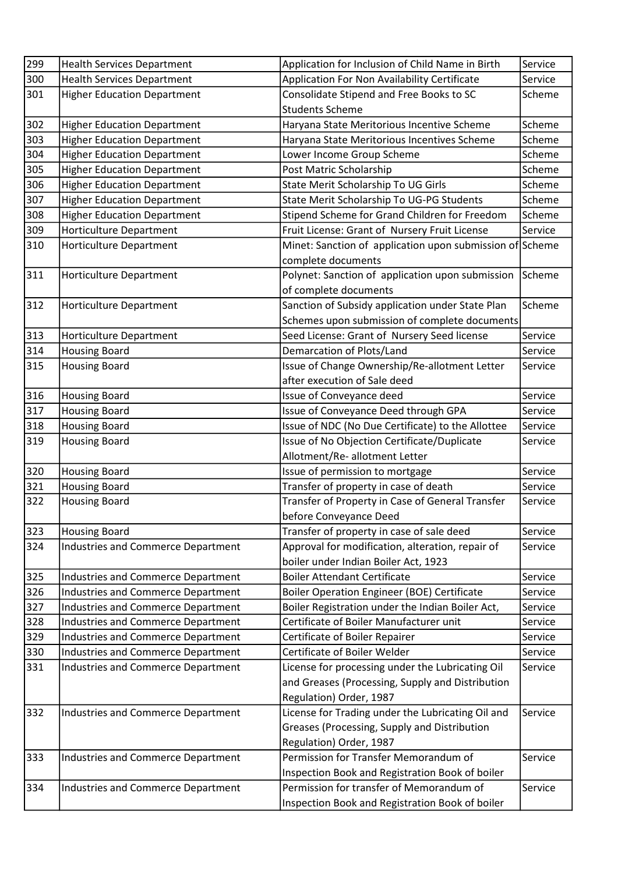| 299 | <b>Health Services Department</b>         | Application for Inclusion of Child Name in Birth         | Service |
|-----|-------------------------------------------|----------------------------------------------------------|---------|
| 300 | <b>Health Services Department</b>         | Application For Non Availability Certificate             | Service |
| 301 | <b>Higher Education Department</b>        | Consolidate Stipend and Free Books to SC                 | Scheme  |
|     |                                           | <b>Students Scheme</b>                                   |         |
| 302 | <b>Higher Education Department</b>        | Haryana State Meritorious Incentive Scheme               | Scheme  |
| 303 | <b>Higher Education Department</b>        | Haryana State Meritorious Incentives Scheme              | Scheme  |
| 304 | <b>Higher Education Department</b>        | Lower Income Group Scheme                                | Scheme  |
| 305 | <b>Higher Education Department</b>        | Post Matric Scholarship                                  | Scheme  |
| 306 | <b>Higher Education Department</b>        | State Merit Scholarship To UG Girls                      | Scheme  |
| 307 | <b>Higher Education Department</b>        | State Merit Scholarship To UG-PG Students                | Scheme  |
| 308 | <b>Higher Education Department</b>        | Stipend Scheme for Grand Children for Freedom            | Scheme  |
| 309 | <b>Horticulture Department</b>            | Fruit License: Grant of Nursery Fruit License            | Service |
| 310 | <b>Horticulture Department</b>            | Minet: Sanction of application upon submission of Scheme |         |
|     |                                           | complete documents                                       |         |
| 311 | <b>Horticulture Department</b>            | Polynet: Sanction of application upon submission         | Scheme  |
|     |                                           | of complete documents                                    |         |
| 312 | <b>Horticulture Department</b>            | Sanction of Subsidy application under State Plan         | Scheme  |
|     |                                           | Schemes upon submission of complete documents            |         |
| 313 | Horticulture Department                   | Seed License: Grant of Nursery Seed license              | Service |
| 314 | <b>Housing Board</b>                      | Demarcation of Plots/Land                                | Service |
| 315 | <b>Housing Board</b>                      | Issue of Change Ownership/Re-allotment Letter            | Service |
|     |                                           | after execution of Sale deed                             |         |
| 316 | <b>Housing Board</b>                      | Issue of Conveyance deed                                 | Service |
| 317 | <b>Housing Board</b>                      | Issue of Conveyance Deed through GPA                     | Service |
| 318 | <b>Housing Board</b>                      | Issue of NDC (No Due Certificate) to the Allottee        | Service |
| 319 | <b>Housing Board</b>                      | Issue of No Objection Certificate/Duplicate              | Service |
|     |                                           | Allotment/Re- allotment Letter                           |         |
| 320 | <b>Housing Board</b>                      | Issue of permission to mortgage                          | Service |
| 321 | <b>Housing Board</b>                      | Transfer of property in case of death                    | Service |
| 322 | <b>Housing Board</b>                      | Transfer of Property in Case of General Transfer         | Service |
|     |                                           | before Conveyance Deed                                   |         |
| 323 | <b>Housing Board</b>                      | Transfer of property in case of sale deed                | Service |
| 324 | <b>Industries and Commerce Department</b> | Approval for modification, alteration, repair of         | Service |
|     |                                           | boiler under Indian Boiler Act, 1923                     |         |
| 325 | <b>Industries and Commerce Department</b> | <b>Boiler Attendant Certificate</b>                      | Service |
| 326 | <b>Industries and Commerce Department</b> | <b>Boiler Operation Engineer (BOE) Certificate</b>       | Service |
| 327 | <b>Industries and Commerce Department</b> | Boiler Registration under the Indian Boiler Act,         | Service |
| 328 | <b>Industries and Commerce Department</b> | Certificate of Boiler Manufacturer unit                  | Service |
| 329 | <b>Industries and Commerce Department</b> | Certificate of Boiler Repairer                           | Service |
| 330 | <b>Industries and Commerce Department</b> | Certificate of Boiler Welder                             | Service |
| 331 | <b>Industries and Commerce Department</b> | License for processing under the Lubricating Oil         | Service |
|     |                                           | and Greases (Processing, Supply and Distribution         |         |
|     |                                           | Regulation) Order, 1987                                  |         |
| 332 | <b>Industries and Commerce Department</b> | License for Trading under the Lubricating Oil and        | Service |
|     |                                           | Greases (Processing, Supply and Distribution             |         |
|     |                                           | Regulation) Order, 1987                                  |         |
| 333 | <b>Industries and Commerce Department</b> | Permission for Transfer Memorandum of                    | Service |
|     |                                           | Inspection Book and Registration Book of boiler          |         |
| 334 | Industries and Commerce Department        | Permission for transfer of Memorandum of                 | Service |
|     |                                           | Inspection Book and Registration Book of boiler          |         |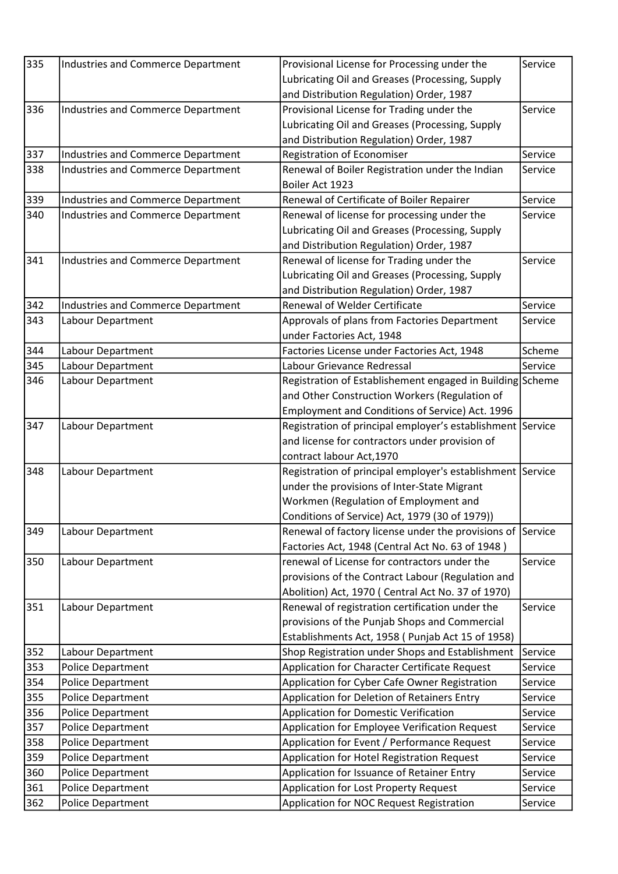| 335 | Industries and Commerce Department        | Provisional License for Processing under the               | Service |
|-----|-------------------------------------------|------------------------------------------------------------|---------|
|     |                                           | Lubricating Oil and Greases (Processing, Supply            |         |
|     |                                           | and Distribution Regulation) Order, 1987                   |         |
| 336 |                                           |                                                            | Service |
|     | <b>Industries and Commerce Department</b> | Provisional License for Trading under the                  |         |
|     |                                           | Lubricating Oil and Greases (Processing, Supply            |         |
|     |                                           | and Distribution Regulation) Order, 1987                   |         |
| 337 | <b>Industries and Commerce Department</b> | Registration of Economiser                                 | Service |
| 338 | <b>Industries and Commerce Department</b> | Renewal of Boiler Registration under the Indian            | Service |
|     |                                           | Boiler Act 1923                                            |         |
| 339 | <b>Industries and Commerce Department</b> | Renewal of Certificate of Boiler Repairer                  | Service |
| 340 | <b>Industries and Commerce Department</b> | Renewal of license for processing under the                | Service |
|     |                                           | Lubricating Oil and Greases (Processing, Supply            |         |
|     |                                           | and Distribution Regulation) Order, 1987                   |         |
| 341 | <b>Industries and Commerce Department</b> | Renewal of license for Trading under the                   | Service |
|     |                                           | Lubricating Oil and Greases (Processing, Supply            |         |
|     |                                           | and Distribution Regulation) Order, 1987                   |         |
| 342 | <b>Industries and Commerce Department</b> | Renewal of Welder Certificate                              | Service |
| 343 | Labour Department                         | Approvals of plans from Factories Department               | Service |
|     |                                           | under Factories Act, 1948                                  |         |
| 344 | Labour Department                         | Factories License under Factories Act, 1948                | Scheme  |
| 345 | Labour Department                         | Labour Grievance Redressal                                 | Service |
| 346 | Labour Department                         | Registration of Establishement engaged in Building Scheme  |         |
|     |                                           | and Other Construction Workers (Regulation of              |         |
|     |                                           | Employment and Conditions of Service) Act. 1996            |         |
| 347 | Labour Department                         | Registration of principal employer's establishment Service |         |
|     |                                           | and license for contractors under provision of             |         |
|     |                                           | contract labour Act, 1970                                  |         |
| 348 | Labour Department                         | Registration of principal employer's establishment Service |         |
|     |                                           | under the provisions of Inter-State Migrant                |         |
|     |                                           | Workmen (Regulation of Employment and                      |         |
|     |                                           | Conditions of Service) Act, 1979 (30 of 1979))             |         |
| 349 | Labour Department                         | Renewal of factory license under the provisions of Service |         |
|     |                                           | Factories Act, 1948 (Central Act No. 63 of 1948)           |         |
| 350 | Labour Department                         | renewal of License for contractors under the               | Service |
|     |                                           | provisions of the Contract Labour (Regulation and          |         |
|     |                                           | Abolition) Act, 1970 (Central Act No. 37 of 1970)          |         |
| 351 | Labour Department                         | Renewal of registration certification under the            | Service |
|     |                                           | provisions of the Punjab Shops and Commercial              |         |
|     |                                           | Establishments Act, 1958 (Punjab Act 15 of 1958)           |         |
| 352 | Labour Department                         | Shop Registration under Shops and Establishment            | Service |
| 353 | <b>Police Department</b>                  | Application for Character Certificate Request              | Service |
| 354 | Police Department                         | Application for Cyber Cafe Owner Registration              | Service |
| 355 | Police Department                         | Application for Deletion of Retainers Entry                | Service |
| 356 | Police Department                         | <b>Application for Domestic Verification</b>               | Service |
| 357 | Police Department                         | Application for Employee Verification Request              | Service |
| 358 | Police Department                         | Application for Event / Performance Request                | Service |
| 359 | Police Department                         | Application for Hotel Registration Request                 | Service |
| 360 | Police Department                         | Application for Issuance of Retainer Entry                 | Service |
| 361 |                                           |                                                            |         |
|     | Police Department                         | Application for Lost Property Request                      | Service |
| 362 | Police Department                         | Application for NOC Request Registration                   | Service |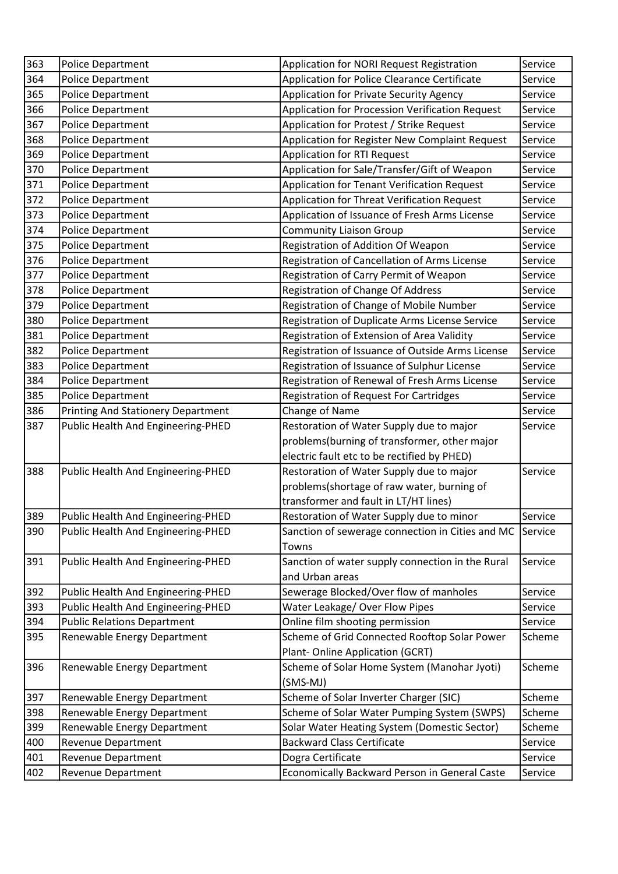| 363 | Police Department                         | Application for NORI Request Registration                          | Service |
|-----|-------------------------------------------|--------------------------------------------------------------------|---------|
| 364 | <b>Police Department</b>                  | Application for Police Clearance Certificate                       | Service |
| 365 | Police Department                         | Application for Private Security Agency                            | Service |
| 366 | Police Department                         | Application for Procession Verification Request                    | Service |
| 367 | Police Department                         | Application for Protest / Strike Request                           | Service |
| 368 | Police Department                         | Application for Register New Complaint Request                     | Service |
| 369 | Police Department                         | <b>Application for RTI Request</b>                                 | Service |
| 370 | Police Department                         | Application for Sale/Transfer/Gift of Weapon                       | Service |
| 371 | Police Department                         | Application for Tenant Verification Request                        | Service |
| 372 | Police Department                         | Application for Threat Verification Request                        | Service |
| 373 | Police Department                         | Application of Issuance of Fresh Arms License                      | Service |
| 374 | Police Department                         | <b>Community Liaison Group</b>                                     | Service |
| 375 | Police Department                         | Registration of Addition Of Weapon                                 | Service |
| 376 | Police Department                         | Registration of Cancellation of Arms License                       | Service |
| 377 | Police Department                         | Registration of Carry Permit of Weapon                             | Service |
| 378 | Police Department                         | Registration of Change Of Address                                  | Service |
| 379 | <b>Police Department</b>                  | Registration of Change of Mobile Number                            | Service |
| 380 | <b>Police Department</b>                  | Registration of Duplicate Arms License Service                     | Service |
| 381 | Police Department                         | Registration of Extension of Area Validity                         | Service |
| 382 | Police Department                         | Registration of Issuance of Outside Arms License                   | Service |
| 383 | Police Department                         | Registration of Issuance of Sulphur License                        | Service |
| 384 | Police Department                         | Registration of Renewal of Fresh Arms License                      | Service |
| 385 | Police Department                         | <b>Registration of Request For Cartridges</b>                      | Service |
| 386 | <b>Printing And Stationery Department</b> | Change of Name                                                     | Service |
| 387 | Public Health And Engineering-PHED        | Restoration of Water Supply due to major                           | Service |
|     |                                           | problems(burning of transformer, other major                       |         |
|     |                                           | electric fault etc to be rectified by PHED)                        |         |
| 388 | Public Health And Engineering-PHED        | Restoration of Water Supply due to major                           | Service |
|     |                                           | problems(shortage of raw water, burning of                         |         |
|     |                                           | transformer and fault in LT/HT lines)                              |         |
| 389 | Public Health And Engineering-PHED        | Restoration of Water Supply due to minor                           | Service |
| 390 | Public Health And Engineering-PHED        | Sanction of sewerage connection in Cities and MC                   | Service |
|     |                                           | Towns                                                              |         |
| 391 | Public Health And Engineering-PHED        | Sanction of water supply connection in the Rural                   | Service |
|     |                                           | and Urban areas                                                    |         |
| 392 | Public Health And Engineering-PHED        | Sewerage Blocked/Over flow of manholes                             | Service |
| 393 |                                           | Water Leakage/ Over Flow Pipes                                     | Service |
| 394 | Public Health And Engineering-PHED        |                                                                    |         |
| 395 | <b>Public Relations Department</b>        | Online film shooting permission                                    | Service |
|     | Renewable Energy Department               | Scheme of Grid Connected Rooftop Solar Power                       | Scheme  |
|     |                                           | Plant-Online Application (GCRT)                                    |         |
| 396 | Renewable Energy Department               | Scheme of Solar Home System (Manohar Jyoti)                        | Scheme  |
|     |                                           | (SMS-MJ)                                                           |         |
| 397 | Renewable Energy Department               | Scheme of Solar Inverter Charger (SIC)                             | Scheme  |
| 398 | Renewable Energy Department               | Scheme of Solar Water Pumping System (SWPS)                        | Scheme  |
| 399 | Renewable Energy Department               | Solar Water Heating System (Domestic Sector)                       | Scheme  |
| 400 | <b>Revenue Department</b>                 | <b>Backward Class Certificate</b>                                  | Service |
| 401 | <b>Revenue Department</b>                 | Dogra Certificate<br>Economically Backward Person in General Caste | Service |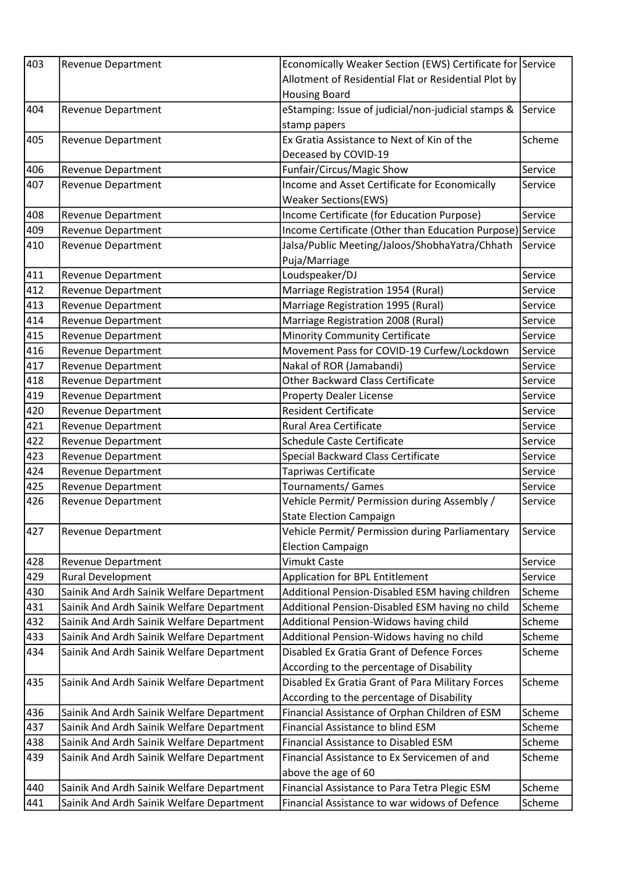| 403 | <b>Revenue Department</b>                 | Economically Weaker Section (EWS) Certificate for Service |         |
|-----|-------------------------------------------|-----------------------------------------------------------|---------|
|     |                                           | Allotment of Residential Flat or Residential Plot by      |         |
|     |                                           | <b>Housing Board</b>                                      |         |
| 404 | <b>Revenue Department</b>                 | eStamping: Issue of judicial/non-judicial stamps &        | Service |
|     |                                           | stamp papers                                              |         |
| 405 | <b>Revenue Department</b>                 | Ex Gratia Assistance to Next of Kin of the                | Scheme  |
|     |                                           | Deceased by COVID-19                                      |         |
| 406 | <b>Revenue Department</b>                 | Funfair/Circus/Magic Show                                 | Service |
| 407 | Revenue Department                        | Income and Asset Certificate for Economically             | Service |
|     |                                           | <b>Weaker Sections(EWS)</b>                               |         |
| 408 | <b>Revenue Department</b>                 | Income Certificate (for Education Purpose)                | Service |
| 409 | Revenue Department                        | Income Certificate (Other than Education Purpose) Service |         |
| 410 | <b>Revenue Department</b>                 | Jalsa/Public Meeting/Jaloos/ShobhaYatra/Chhath            | Service |
|     |                                           | Puja/Marriage                                             |         |
| 411 | <b>Revenue Department</b>                 | Loudspeaker/DJ                                            | Service |
| 412 | <b>Revenue Department</b>                 | Marriage Registration 1954 (Rural)                        | Service |
| 413 | <b>Revenue Department</b>                 | Marriage Registration 1995 (Rural)                        | Service |
| 414 | <b>Revenue Department</b>                 | Marriage Registration 2008 (Rural)                        | Service |
| 415 | <b>Revenue Department</b>                 | <b>Minority Community Certificate</b>                     | Service |
| 416 | <b>Revenue Department</b>                 | Movement Pass for COVID-19 Curfew/Lockdown                | Service |
| 417 | Revenue Department                        | Nakal of ROR (Jamabandi)                                  | Service |
| 418 | <b>Revenue Department</b>                 | <b>Other Backward Class Certificate</b>                   | Service |
| 419 | <b>Revenue Department</b>                 | <b>Property Dealer License</b>                            | Service |
| 420 | <b>Revenue Department</b>                 | <b>Resident Certificate</b>                               | Service |
| 421 | <b>Revenue Department</b>                 | Rural Area Certificate                                    | Service |
| 422 | <b>Revenue Department</b>                 | <b>Schedule Caste Certificate</b>                         | Service |
| 423 | <b>Revenue Department</b>                 | Special Backward Class Certificate                        | Service |
| 424 | Revenue Department                        | Tapriwas Certificate                                      | Service |
| 425 | <b>Revenue Department</b>                 | Tournaments/ Games                                        | Service |
| 426 | <b>Revenue Department</b>                 | Vehicle Permit/ Permission during Assembly /              | Service |
|     |                                           | <b>State Election Campaign</b>                            |         |
| 427 | Revenue Department                        | Vehicle Permit/ Permission during Parliamentary           | Service |
|     |                                           | <b>Election Campaign</b>                                  |         |
| 428 | <b>Revenue Department</b>                 | Vimukt Caste                                              | Service |
| 429 | <b>Rural Development</b>                  | Application for BPL Entitlement                           | Service |
| 430 | Sainik And Ardh Sainik Welfare Department | Additional Pension-Disabled ESM having children           | Scheme  |
| 431 | Sainik And Ardh Sainik Welfare Department | Additional Pension-Disabled ESM having no child           | Scheme  |
| 432 | Sainik And Ardh Sainik Welfare Department | Additional Pension-Widows having child                    | Scheme  |
| 433 | Sainik And Ardh Sainik Welfare Department | Additional Pension-Widows having no child                 | Scheme  |
| 434 | Sainik And Ardh Sainik Welfare Department | Disabled Ex Gratia Grant of Defence Forces                | Scheme  |
|     |                                           | According to the percentage of Disability                 |         |
| 435 | Sainik And Ardh Sainik Welfare Department | Disabled Ex Gratia Grant of Para Military Forces          | Scheme  |
|     |                                           | According to the percentage of Disability                 |         |
| 436 | Sainik And Ardh Sainik Welfare Department | Financial Assistance of Orphan Children of ESM            | Scheme  |
| 437 | Sainik And Ardh Sainik Welfare Department | Financial Assistance to blind ESM                         | Scheme  |
| 438 | Sainik And Ardh Sainik Welfare Department | Financial Assistance to Disabled ESM                      | Scheme  |
| 439 | Sainik And Ardh Sainik Welfare Department | Financial Assistance to Ex Servicemen of and              | Scheme  |
|     |                                           | above the age of 60                                       |         |
| 440 | Sainik And Ardh Sainik Welfare Department | Financial Assistance to Para Tetra Plegic ESM             | Scheme  |
| 441 | Sainik And Ardh Sainik Welfare Department | Financial Assistance to war widows of Defence             | Scheme  |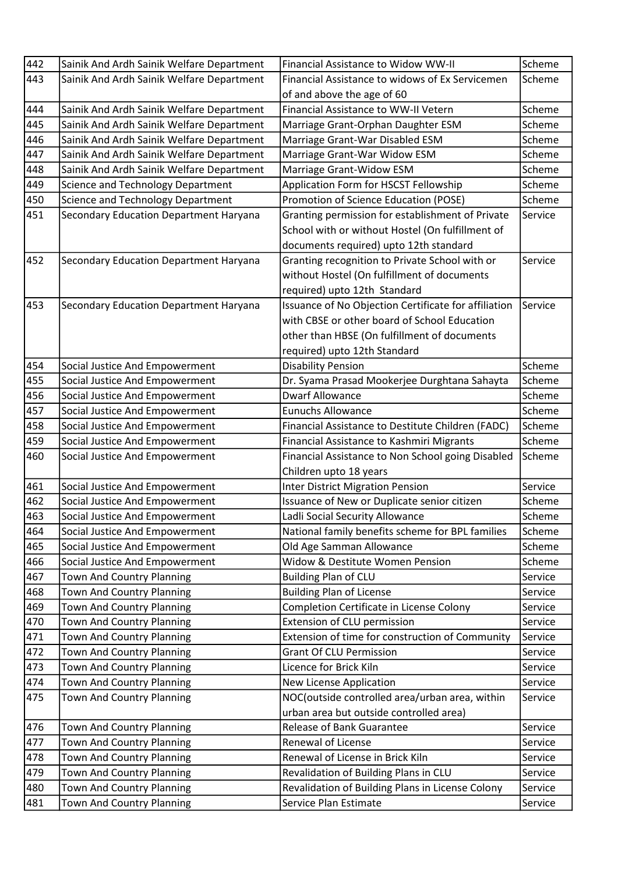| 442 | Sainik And Ardh Sainik Welfare Department | Financial Assistance to Widow WW-II                  | Scheme  |
|-----|-------------------------------------------|------------------------------------------------------|---------|
| 443 | Sainik And Ardh Sainik Welfare Department | Financial Assistance to widows of Ex Servicemen      | Scheme  |
|     |                                           | of and above the age of 60                           |         |
| 444 | Sainik And Ardh Sainik Welfare Department | Financial Assistance to WW-II Vetern                 | Scheme  |
| 445 | Sainik And Ardh Sainik Welfare Department | Marriage Grant-Orphan Daughter ESM                   | Scheme  |
| 446 | Sainik And Ardh Sainik Welfare Department | Marriage Grant-War Disabled ESM                      | Scheme  |
| 447 | Sainik And Ardh Sainik Welfare Department | Marriage Grant-War Widow ESM                         | Scheme  |
| 448 | Sainik And Ardh Sainik Welfare Department | Marriage Grant-Widow ESM                             | Scheme  |
| 449 | Science and Technology Department         | Application Form for HSCST Fellowship                | Scheme  |
| 450 | Science and Technology Department         | Promotion of Science Education (POSE)                | Scheme  |
| 451 | Secondary Education Department Haryana    | Granting permission for establishment of Private     | Service |
|     |                                           | School with or without Hostel (On fulfillment of     |         |
|     |                                           | documents required) upto 12th standard               |         |
| 452 | Secondary Education Department Haryana    | Granting recognition to Private School with or       | Service |
|     |                                           | without Hostel (On fulfillment of documents          |         |
|     |                                           | required) upto 12th Standard                         |         |
| 453 | Secondary Education Department Haryana    | Issuance of No Objection Certificate for affiliation | Service |
|     |                                           | with CBSE or other board of School Education         |         |
|     |                                           | other than HBSE (On fulfillment of documents         |         |
|     |                                           | required) upto 12th Standard                         |         |
| 454 | Social Justice And Empowerment            | <b>Disability Pension</b>                            | Scheme  |
| 455 | Social Justice And Empowerment            | Dr. Syama Prasad Mookerjee Durghtana Sahayta         | Scheme  |
| 456 | Social Justice And Empowerment            | <b>Dwarf Allowance</b>                               | Scheme  |
| 457 | Social Justice And Empowerment            | <b>Eunuchs Allowance</b>                             | Scheme  |
| 458 | Social Justice And Empowerment            | Financial Assistance to Destitute Children (FADC)    | Scheme  |
| 459 | Social Justice And Empowerment            | Financial Assistance to Kashmiri Migrants            | Scheme  |
| 460 | Social Justice And Empowerment            | Financial Assistance to Non School going Disabled    | Scheme  |
|     |                                           | Children upto 18 years                               |         |
| 461 | Social Justice And Empowerment            | <b>Inter District Migration Pension</b>              | Service |
| 462 | Social Justice And Empowerment            | Issuance of New or Duplicate senior citizen          | Scheme  |
| 463 | Social Justice And Empowerment            | Ladli Social Security Allowance                      | Scheme  |
| 464 | Social Justice And Empowerment            | National family benefits scheme for BPL families     | Scheme  |
| 465 | Social Justice And Empowerment            | Old Age Samman Allowance                             | Scheme  |
| 466 | Social Justice And Empowerment            | Widow & Destitute Women Pension                      | Scheme  |
| 467 | Town And Country Planning                 | <b>Building Plan of CLU</b>                          | Service |
| 468 | <b>Town And Country Planning</b>          | <b>Building Plan of License</b>                      | Service |
| 469 | Town And Country Planning                 | Completion Certificate in License Colony             | Service |
| 470 | <b>Town And Country Planning</b>          | Extension of CLU permission                          | Service |
| 471 | <b>Town And Country Planning</b>          | Extension of time for construction of Community      | Service |
| 472 | <b>Town And Country Planning</b>          | <b>Grant Of CLU Permission</b>                       | Service |
| 473 | <b>Town And Country Planning</b>          | Licence for Brick Kiln                               | Service |
| 474 | Town And Country Planning                 | New License Application                              | Service |
| 475 | Town And Country Planning                 | NOC(outside controlled area/urban area, within       | Service |
|     |                                           | urban area but outside controlled area)              |         |
| 476 | Town And Country Planning                 | Release of Bank Guarantee                            | Service |
| 477 | Town And Country Planning                 | <b>Renewal of License</b>                            | Service |
| 478 | Town And Country Planning                 | Renewal of License in Brick Kiln                     | Service |
| 479 | <b>Town And Country Planning</b>          | Revalidation of Building Plans in CLU                | Service |
| 480 | Town And Country Planning                 | Revalidation of Building Plans in License Colony     | Service |
| 481 | <b>Town And Country Planning</b>          | Service Plan Estimate                                | Service |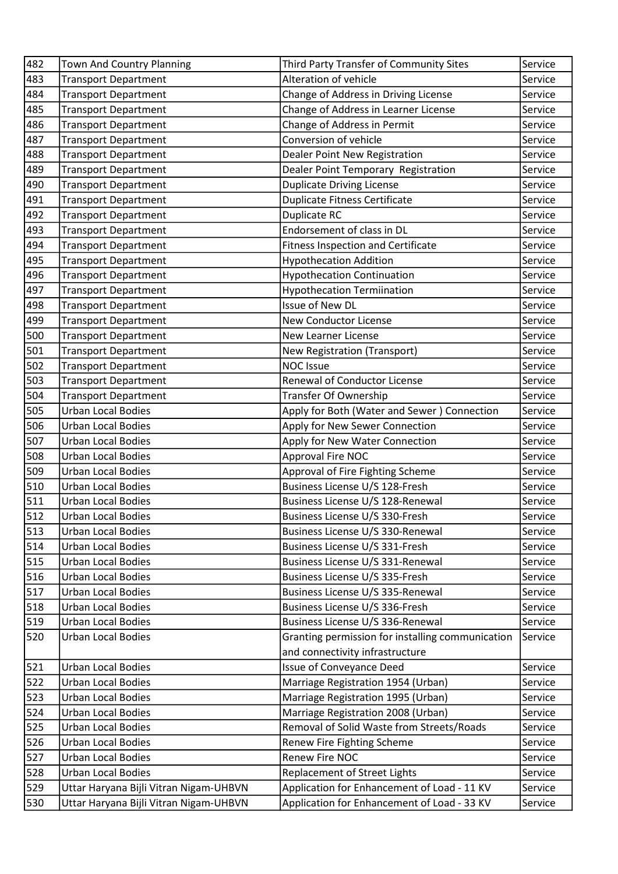| 482 | <b>Town And Country Planning</b>       | Third Party Transfer of Community Sites          | Service |
|-----|----------------------------------------|--------------------------------------------------|---------|
| 483 | <b>Transport Department</b>            | Alteration of vehicle                            | Service |
| 484 | <b>Transport Department</b>            | Change of Address in Driving License             | Service |
| 485 | <b>Transport Department</b>            | Change of Address in Learner License             | Service |
| 486 | <b>Transport Department</b>            | Change of Address in Permit                      | Service |
| 487 | <b>Transport Department</b>            | Conversion of vehicle                            | Service |
| 488 | <b>Transport Department</b>            | Dealer Point New Registration                    | Service |
| 489 | <b>Transport Department</b>            | Dealer Point Temporary Registration              | Service |
| 490 | <b>Transport Department</b>            | <b>Duplicate Driving License</b>                 | Service |
| 491 | <b>Transport Department</b>            | <b>Duplicate Fitness Certificate</b>             | Service |
| 492 | <b>Transport Department</b>            | Duplicate RC                                     | Service |
| 493 | <b>Transport Department</b>            | Endorsement of class in DL                       | Service |
| 494 | <b>Transport Department</b>            | <b>Fitness Inspection and Certificate</b>        | Service |
| 495 | <b>Transport Department</b>            | <b>Hypothecation Addition</b>                    | Service |
| 496 | <b>Transport Department</b>            | <b>Hypothecation Continuation</b>                | Service |
| 497 | <b>Transport Department</b>            | <b>Hypothecation Termiination</b>                | Service |
| 498 | <b>Transport Department</b>            | Issue of New DL                                  | Service |
| 499 | <b>Transport Department</b>            | <b>New Conductor License</b>                     | Service |
| 500 | <b>Transport Department</b>            | New Learner License                              | Service |
| 501 | <b>Transport Department</b>            | New Registration (Transport)                     | Service |
| 502 | <b>Transport Department</b>            | <b>NOC Issue</b>                                 | Service |
| 503 | <b>Transport Department</b>            | Renewal of Conductor License                     | Service |
| 504 | <b>Transport Department</b>            | Transfer Of Ownership                            | Service |
| 505 | <b>Urban Local Bodies</b>              | Apply for Both (Water and Sewer) Connection      | Service |
| 506 | <b>Urban Local Bodies</b>              | Apply for New Sewer Connection                   | Service |
| 507 | <b>Urban Local Bodies</b>              | Apply for New Water Connection                   | Service |
| 508 | <b>Urban Local Bodies</b>              | <b>Approval Fire NOC</b>                         | Service |
| 509 | <b>Urban Local Bodies</b>              | Approval of Fire Fighting Scheme                 | Service |
| 510 | <b>Urban Local Bodies</b>              | Business License U/S 128-Fresh                   | Service |
| 511 | <b>Urban Local Bodies</b>              | Business License U/S 128-Renewal                 | Service |
| 512 | <b>Urban Local Bodies</b>              | Business License U/S 330-Fresh                   | Service |
| 513 | <b>Urban Local Bodies</b>              | Business License U/S 330-Renewal                 | Service |
| 514 | <b>Urban Local Bodies</b>              | Business License U/S 331-Fresh                   | Service |
| 515 | <b>Urban Local Bodies</b>              | Business License U/S 331-Renewal                 | Service |
| 516 | <b>Urban Local Bodies</b>              | Business License U/S 335-Fresh                   | Service |
| 517 | <b>Urban Local Bodies</b>              | Business License U/S 335-Renewal                 | Service |
| 518 | <b>Urban Local Bodies</b>              | Business License U/S 336-Fresh                   | Service |
| 519 | <b>Urban Local Bodies</b>              | Business License U/S 336-Renewal                 | Service |
| 520 | <b>Urban Local Bodies</b>              | Granting permission for installing communication | Service |
|     |                                        | and connectivity infrastructure                  |         |
| 521 | <b>Urban Local Bodies</b>              | <b>Issue of Conveyance Deed</b>                  | Service |
| 522 | <b>Urban Local Bodies</b>              | Marriage Registration 1954 (Urban)               | Service |
| 523 | <b>Urban Local Bodies</b>              | Marriage Registration 1995 (Urban)               | Service |
| 524 | <b>Urban Local Bodies</b>              | Marriage Registration 2008 (Urban)               | Service |
| 525 | <b>Urban Local Bodies</b>              | Removal of Solid Waste from Streets/Roads        | Service |
| 526 | <b>Urban Local Bodies</b>              | Renew Fire Fighting Scheme                       | Service |
| 527 | <b>Urban Local Bodies</b>              | Renew Fire NOC                                   | Service |
| 528 | <b>Urban Local Bodies</b>              | <b>Replacement of Street Lights</b>              | Service |
| 529 | Uttar Haryana Bijli Vitran Nigam-UHBVN | Application for Enhancement of Load - 11 KV      | Service |
| 530 | Uttar Haryana Bijli Vitran Nigam-UHBVN | Application for Enhancement of Load - 33 KV      | Service |